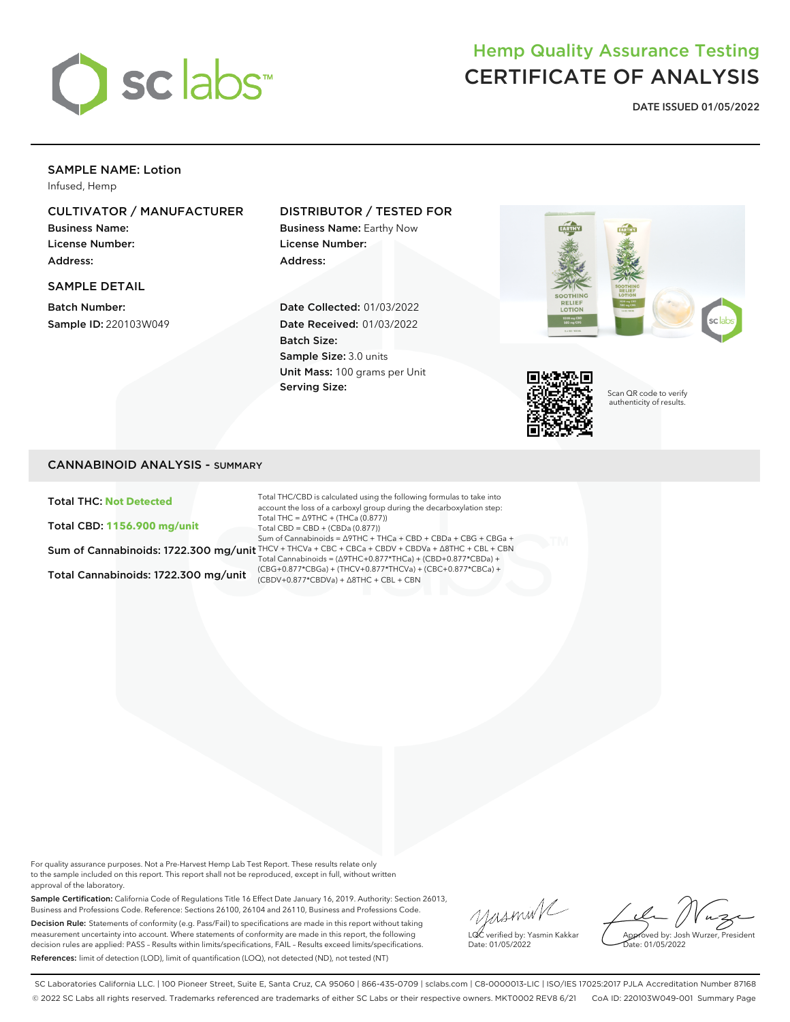

# Hemp Quality Assurance Testing CERTIFICATE OF ANALYSIS

**DATE ISSUED 01/05/2022**

## SAMPLE NAME: Lotion

Infused, Hemp

# CULTIVATOR / MANUFACTURER

Business Name: License Number: Address:

#### SAMPLE DETAIL

Batch Number: Sample ID: 220103W049

### DISTRIBUTOR / TESTED FOR

Business Name: Earthy Now License Number: Address:

Date Collected: 01/03/2022 Date Received: 01/03/2022 Batch Size: Sample Size: 3.0 units Unit Mass: 100 grams per Unit Serving Size:





Scan QR code to verify authenticity of results.

#### CANNABINOID ANALYSIS - SUMMARY

Total THC: **Not Detected**

Total CBD: **1156.900 mg/unit**

Total Cannabinoids: 1722.300 mg/unit

Sum of Cannabinoids: 1722.300 mg/unit THCV + THCVa + CBC + CBCa + CBDV + CBDVa + ∆8THC + CBL + CBN Total THC/CBD is calculated using the following formulas to take into account the loss of a carboxyl group during the decarboxylation step: Total THC = ∆9THC + (THCa (0.877)) Total CBD = CBD + (CBDa (0.877)) Sum of Cannabinoids = ∆9THC + THCa + CBD + CBDa + CBG + CBGa + Total Cannabinoids = (∆9THC+0.877\*THCa) + (CBD+0.877\*CBDa) + (CBG+0.877\*CBGa) + (THCV+0.877\*THCVa) + (CBC+0.877\*CBCa) + (CBDV+0.877\*CBDVa) + ∆8THC + CBL + CBN

For quality assurance purposes. Not a Pre-Harvest Hemp Lab Test Report. These results relate only to the sample included on this report. This report shall not be reproduced, except in full, without written approval of the laboratory.

Sample Certification: California Code of Regulations Title 16 Effect Date January 16, 2019. Authority: Section 26013, Business and Professions Code. Reference: Sections 26100, 26104 and 26110, Business and Professions Code. Decision Rule: Statements of conformity (e.g. Pass/Fail) to specifications are made in this report without taking measurement uncertainty into account. Where statements of conformity are made in this report, the following decision rules are applied: PASS – Results within limits/specifications, FAIL – Results exceed limits/specifications. References: limit of detection (LOD), limit of quantification (LOQ), not detected (ND), not tested (NT)

yusmink LQC verified by: Yasmin Kakkar

Approved by: Josh Wurzer, President ate: 01/05/2022

Date: 01/05/2022

SC Laboratories California LLC. | 100 Pioneer Street, Suite E, Santa Cruz, CA 95060 | 866-435-0709 | sclabs.com | C8-0000013-LIC | ISO/IES 17025:2017 PJLA Accreditation Number 87168 © 2022 SC Labs all rights reserved. Trademarks referenced are trademarks of either SC Labs or their respective owners. MKT0002 REV8 6/21 CoA ID: 220103W049-001 Summary Page